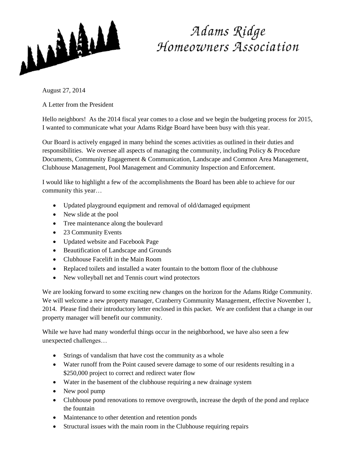

## Adams Ridge<br>Homeowners Association

August 27, 2014

A Letter from the President

Hello neighbors! As the 2014 fiscal year comes to a close and we begin the budgeting process for 2015, I wanted to communicate what your Adams Ridge Board have been busy with this year.

Our Board is actively engaged in many behind the scenes activities as outlined in their duties and responsibilities. We oversee all aspects of managing the community, including Policy  $\&$  Procedure Documents, Community Engagement & Communication, Landscape and Common Area Management, Clubhouse Management, Pool Management and Community Inspection and Enforcement.

I would like to highlight a few of the accomplishments the Board has been able to achieve for our community this year…

- Updated playground equipment and removal of old/damaged equipment
- New slide at the pool
- Tree maintenance along the boulevard
- 23 Community Events
- Updated website and Facebook Page
- Beautification of Landscape and Grounds
- Clubhouse Facelift in the Main Room
- Replaced toilets and installed a water fountain to the bottom floor of the clubhouse
- New volleyball net and Tennis court wind protectors

We are looking forward to some exciting new changes on the horizon for the Adams Ridge Community. We will welcome a new property manager, Cranberry Community Management, effective November 1, 2014. Please find their introductory letter enclosed in this packet. We are confident that a change in our property manager will benefit our community.

While we have had many wonderful things occur in the neighborhood, we have also seen a few unexpected challenges…

- Strings of vandalism that have cost the community as a whole
- Water runoff from the Point caused severe damage to some of our residents resulting in a \$250,000 project to correct and redirect water flow
- Water in the basement of the clubhouse requiring a new drainage system
- New pool pump
- Clubhouse pond renovations to remove overgrowth, increase the depth of the pond and replace the fountain
- Maintenance to other detention and retention ponds
- Structural issues with the main room in the Clubhouse requiring repairs